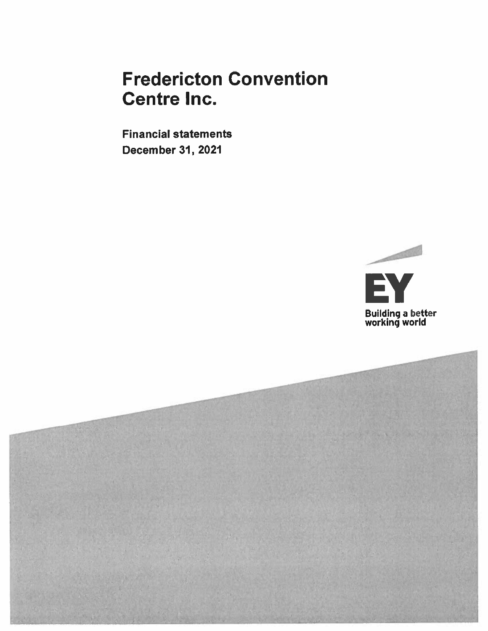Financial statements December 31, 2021

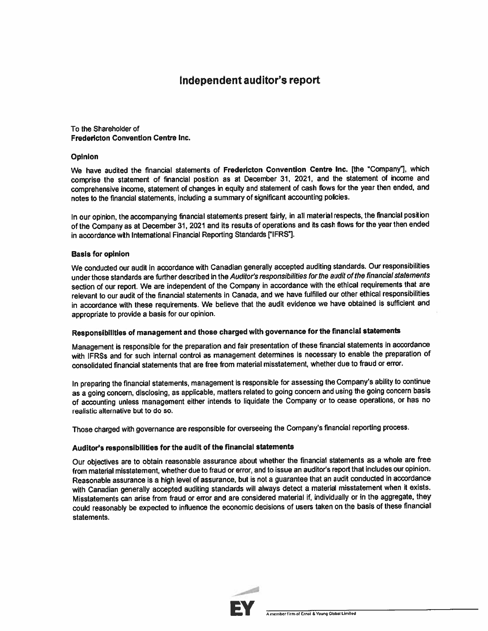# Independent auditor's repor<sup>t</sup>

To the Shareholder of Fredericton Convention Centre Inc.

### Opinion

We have audited the financial statements of Fredericton Convention Centre Inc. [the "Company"], which comprise the statement of financial position as at December 31, 2021. and the statement of income and comprehensive income, statement of changes in equity and statement of cash flows for the year then ended, and notes to the financial statements, including a summary of significant accounting policies.

In our opinion, the accompanying financial statements present fairly, in all material respects, the financial position of the Company as at December 31, 2021 and its results of operations and its cash flows for the year then ended in accordance with International Financial Reporting Standards ["IFRS].

# Basis for opinion

We conducted our audit in accordance with Canadian generally accepted auditing standards. Our responsibilities under those standards are further described in the Auditor's responsibilities for the audit of the financial statements section of our report. We are independent of the Company in accordance with the ethical requirements that are relevant to our audit of the financial statements in Canada, and we have fulfilled our other ethical responsibilities in accordance with these requirements. We believe that the audit evidence we have obtained is sufficient and appropriate to provide <sup>a</sup> basis for our opinion.

# Responsibilities of managemen<sup>t</sup> and those charged with governance for the financial statements

Management is responsible for the preparation and fair presentation of these financial statements in accordance with IFRSs and for such internal control as managemen<sup>t</sup> determines is necessary to enable the preparation of consolidated financial statements that are free from material misstatement, whether due to fraud or error.

In preparing the financial statements, managemen<sup>t</sup> is responsible for assessing the Company's ability to continue as a going concern, disclosing, as applicable, matters related to going concern and using the going concern basis of accounting unless managemen<sup>t</sup> either intends to liquidate the Company or to cease operations, or has no realistic alternative but to do so.

Those charged with governance are responsible for overseeing the Company's financial reporting process.

# Auditor's responsibilities for the audit of the financial statements

Our objectives are to obtain reasonable assurance about whether the financial statements as <sup>a</sup> whole are free from material misstatement, whether due to fraud or error, and to issue an auditor's report that includes our opinion. Reasonable assurance is <sup>a</sup> high level of assurance, but is not <sup>a</sup> guarantee that an audit conducted in accordance with Canadian generally accepted auditing standards will always detect <sup>a</sup> material misstatement when it exists. Misstatements can arise from fraud or error and are considered material if, individually or in the aggregate, they could reasonably be expected to influence the economic decisions of users taken on the basis of these financial statements.

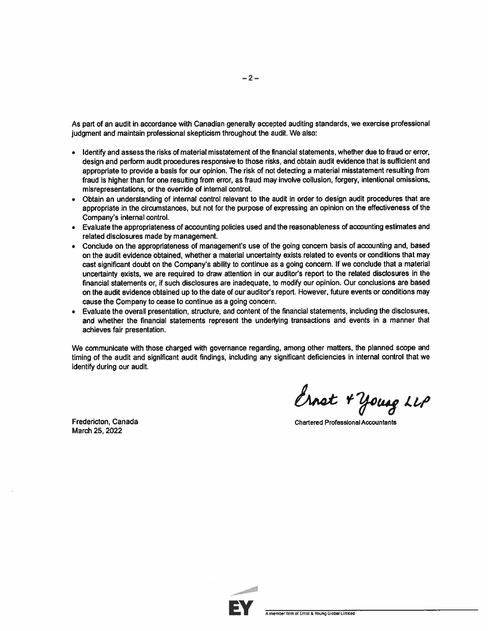As par<sup>t</sup> of an audit in accordance with Canadian generally accepted auditing standards, we exercise professional judgment and maintain professional skepticism throughout the audit. We also:

- $\bullet$  Identify and assess the risks of material misstatement of the financial statements, whether due to fraud or error design and perform audit procedures responsive to those risks, and obtain audit evidence that is sufficient and appropriate to provide <sup>a</sup> basis for our opinion. The risk of not detecting <sup>a</sup> material misstatement resulting from fraud is higher than for one resutting from error, as fraud may involve collusion, forgery, intentional omissions, misrepresentations, or the override of internal control.
- • Obtain an understanding of internal control relevant to the audit in order to design audit procedures that are appropriate in the circumstances, but not for the purpose of expressing an opinion on the effectiveness of the Company's internal control.
- Evaluate the appropriateness of accounting policies used and the reasonableness of accounting estimates and related disclosures made by management.
- Conclude on the appropriateness of management's use of the going concern basis of accounting and, based on the audit evidence obtained, whether <sup>a</sup> material uncertainty exists related to events or conditions that may cast significant doubt on the Company's ability to continue as <sup>a</sup> going concern. If we conclude that <sup>a</sup> material uncertainty exists, we are required to draw attention in our auditor's repor<sup>t</sup> to the related disclosures in the financial statements or, if such disclosures are inadequate, to modify our opinion. Our conclusions are based on the audit evidence obtained up to the date of our auditor's report. However, future events or conditions may cause the Company to cease to continue as <sup>a</sup> going concern.
- • Evaluate the overall presentation, structure, and content of the financial statements, including the disclosures, and whether the financial statements represen<sup>t</sup> the underlying transactions and events in <sup>a</sup> manner that achieves fair presentation.

We communicate with those charged with governance regarding, among other matters, the <sup>p</sup>lanned scope and timing of the audit and significant audit findings, including any significant deficiencies in internal control that we identify during our audit.

March 25, 2022

Crost + young LLP

**Fredericton, Canada chartered Professional Accountants** Chartered Professional Accountants

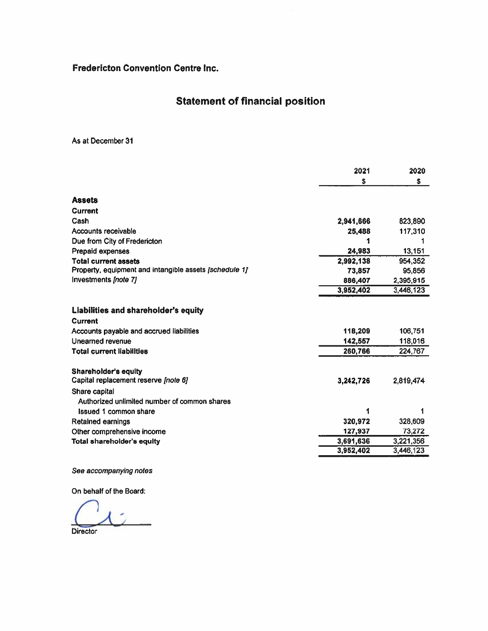# Statement of financial position

As at December 31

|                                                               | 2021      | 2020      |
|---------------------------------------------------------------|-----------|-----------|
|                                                               | s         | \$        |
| <b>Assets</b>                                                 |           |           |
| Current                                                       |           |           |
| Cash                                                          | 2,941,666 | 823,890   |
| Accounts receivable                                           | 25,488    | 117,310   |
| Due from City of Fredericton                                  |           |           |
| Prepaid expenses                                              | 24,983    | 13,151    |
| <b>Total current assets</b>                                   | 2,992,138 | 954,352   |
| Property, equipment and intangible assets [schedule 1]        | 73,857    | 95,856    |
| Investments [note 7]                                          | 886,407   | 2,395,915 |
|                                                               | 3,952,402 | 3,446,123 |
| Liabilities and shareholder's equity                          |           |           |
| <b>Current</b>                                                |           |           |
| Accounts payable and accrued liabilities                      | 118,209   | 106,751   |
| Unearned revenue                                              | 142,557   | 118,016   |
| <b>Total current liabilities</b>                              | 260,766   | 224,767   |
| <b>Shareholder's equity</b>                                   |           |           |
| Capital replacement reserve [note 6]                          | 3,242,726 | 2,819,474 |
| Share capital<br>Authorized unlimited number of common shares |           |           |
| Issued 1 common share                                         |           |           |
| <b>Retained earnings</b>                                      | 320,972   | 328,609   |
| Other comprehensive income                                    | 127,937   | 73,272    |
| Total shareholder's equity                                    | 3,691,636 | 3,221,356 |
|                                                               | 3,952,402 | 3,446,123 |

See accompanying notes

On behalf of the Board:

**Director**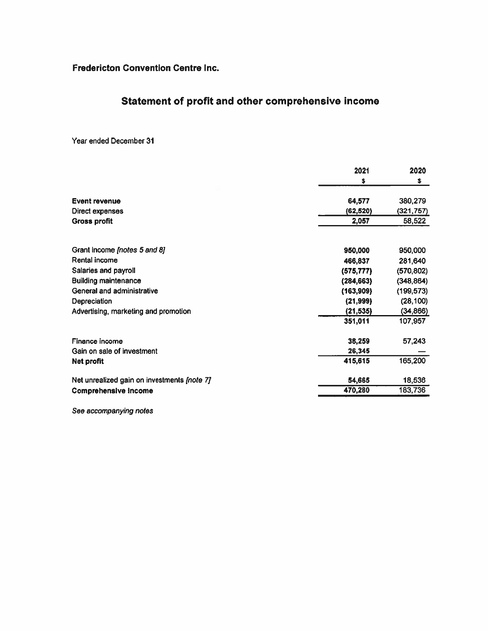# Statement of profit and other comprehensive income

Year ended December 31

|                                             | 2021       | 2020       |
|---------------------------------------------|------------|------------|
|                                             | \$         | \$         |
| <b>Event revenue</b>                        | 64,577     | 380,279    |
| Direct expenses                             | (62, 520)  | (321, 757) |
| <b>Gross profit</b>                         | 2,057      | 58,522     |
| Grant income [notes 5 and 8]                | 950,000    | 950,000    |
| Rental income                               | 466,837    | 281,640    |
| Salaries and payroll                        | (575, 777) | (570, 802) |
| <b>Building maintenance</b>                 | (284, 663) | (348, 864) |
| General and administrative                  | (163, 909) | (199, 573) |
| Depreciation                                | (21, 999)  | (28, 100)  |
| Advertising, marketing and promotion        | (21, 535)  | (34, 866)  |
|                                             | 351,011    | 107,957    |
| Finance income                              | 38,259     | 57,243     |
| Gain on sale of investment                  | 26,345     |            |
| Net profit                                  | 415,615    | 165,200    |
| Net unrealized gain on investments [note 7] | 54,665     | 18,536     |
| <b>Comprehensive income</b>                 | 470,280    | 183,736    |

See accompanying notes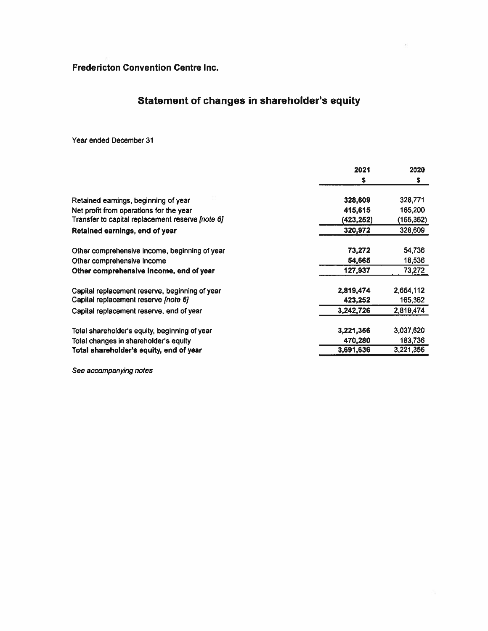# Statement of changes in shareholder's equity

Year ended December 31

|                                                  | 2021      | 2020       |
|--------------------------------------------------|-----------|------------|
|                                                  | 5         | s.         |
| Retained earnings, beginning of year             | 328,609   | 328,771    |
| Net profit from operations for the year          | 415.615   | 165,200    |
| Transfer to capital replacement reserve [note 6] | (423,252) | (165, 362) |
| Retained earnings, end of year                   | 320,972   | 328,609    |
| Other comprehensive income, beginning of year    | 73,272    | 54,736     |
| Other comprehensive income                       | 54,665    | 18,536     |
| Other comprehensive income, end of year          | 127,937   | 73,272     |
| Capital replacement reserve, beginning of year   | 2,819,474 | 2,654,112  |
| Capital replacement reserve [note 6]             | 423,252   | 165,362    |
| Capital replacement reserve, end of year         | 3,242,726 | 2,819,474  |
| Total shareholder's equity, beginning of year    | 3,221,356 | 3,037,620  |
| Total changes in shareholder's equity            | 470,280   | 183,736    |
| Total shareholder's equity, end of year          | 3,691,636 | 3,221,356  |
|                                                  |           |            |

See accompanying notes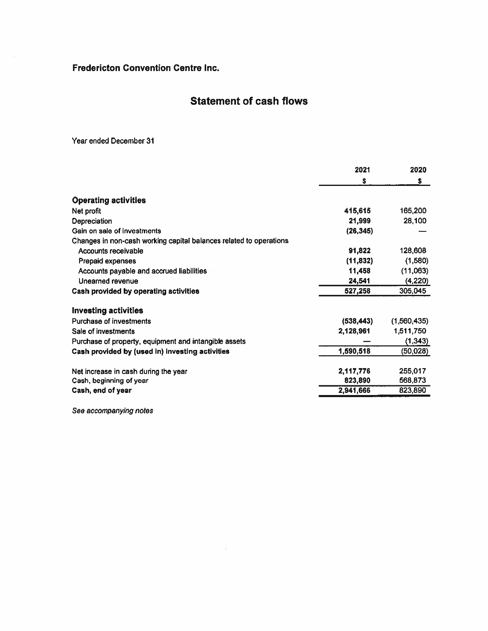# Statement of cash flows

Year ended December 31

| 2021       | 2020        |
|------------|-------------|
| s          | S           |
|            |             |
| 415,615    | 165,200     |
| 21,999     | 28,100      |
| (26, 345)  |             |
|            |             |
| 91,822     | 128,608     |
| (11, 832)  | (1,580)     |
| 11,458     | (11,063)    |
| 24,541     | (4,220)     |
| 527,258    | 305,045     |
|            |             |
| (538, 443) | (1,560,435) |
| 2,128,961  | 1,511,750   |
|            | (1, 343)    |
| 1,590,518  | (50,028)    |
| 2,117,776  | 255,017     |
| 823,890    | 568,873     |
| 2,941,666  | 823,890     |
|            |             |

See accompanying notes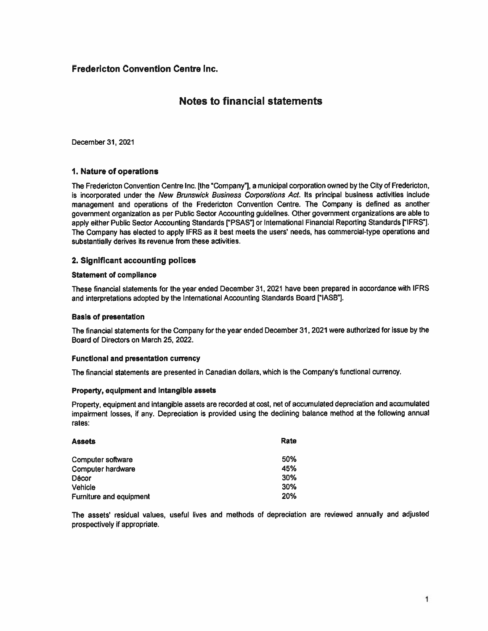# Notes to financial statements

December31, 2021

# 1. Nature of operations

The Fredericton Convention Centre Inc. [the 'Company'], <sup>a</sup> municipal corporation owned by the City of Fredericton, is incorporated under the New Brunswick Business Corporations Act. Its principal business activities include managemen<sup>t</sup> and operations of the Fredericton Convention Centre. The Company is defined as another governmen<sup>t</sup> organization as per Public Sector Accounting guidelines. Other governmen<sup>t</sup> organizations are able to apply either Public Sector Accounting Standards ["PSAS"] or International Financial Reporting Standards ["IFRS"]. The Company has elected to apply IERS as it best meets the users' needs, has commercial-type operations and substantially derives its revenue from these activities.

# 2. Significant accounting polices

# Statement of compliance

These financial statements for the year ended December 31, <sup>2021</sup> have been prepare<sup>d</sup> in accordance with IFRS and interpretations adopted by the International Accounting Standards Board ["lASS"].

# Basis of presentation

The financial statements for the Company for the year ended December 31,2021 were authorized for issue by the Board of Directors on March 25, 2022.

# Functional and presentation currency

The financial statements are presented in Canadian dollars, which is the Company's functional currency.

# Property, equipment and intangible assets

Property, equipment and intangible assets are recorded at cost, net of accumulated depreciation and accumulated impairment losses, if any. Depreciation is provided using the declining balance method at the following annual rates:

| <b>Assets</b>                  | Rate |
|--------------------------------|------|
| Computer software              | 50%  |
| Computer hardware              | 45%  |
| Décor                          | 30%  |
| Vehicle                        | 30%  |
| <b>Furniture and equipment</b> | 20%  |

The assets' residual values, useful lives and methods of depreciation are reviewed annually and adjusted prospectively if appropriate.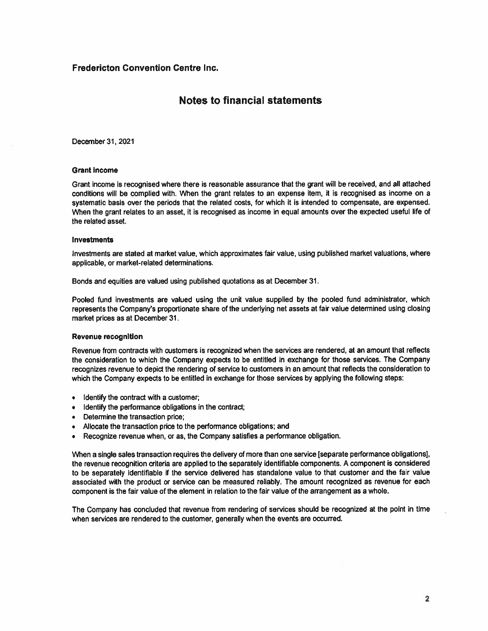# Notes to financial statements

December 31, 2021

# Grant income

Grant income is recognised where there is reasonable assurance that the gran<sup>t</sup> will be received, and all attached conditions will be complied with. When the gran<sup>t</sup> relates to an expense item, it is recognised as income on <sup>a</sup> systematic basis over the periods that the related costs, for which it is intended to compensate, are expensed. When the grant relates to an asset, it is recognised as income in equal amounts over the expected useful life of the related asset.

### Investments

Investments are stated at market value, which approximates fair value, using published market valuations, where applicable, or market-related determinations.

Bonds and equities are valued using published quotations as at December31.

Pooled fund investments are valued using the unit value supplied by the pooled fund administrator, which represents the Company's proportionate share of the underlying net assets at fair value determined using closing market prices as at December 31.

# Revenue recognition

Revenue from contracts with customers is recognized when the services are rendered, at an amount that reflects the consideration to which the Company expects to be entitled in exchange for those services. The Company recognizes revenue to depict the rendering of service to customers in an amount that reflects the consideration to which the Company expects to be entitled in exchange for those services by applying the following steps:

- Identify the contract with <sup>a</sup> customer;
- Identify the performance obligations in the contract;
- Determine the transaction price;
- Allocate the transaction price to the performance obligations; and
- Recognize revenue when, or as, the Company satisfies <sup>a</sup> performance obligation.

When <sup>a</sup> single sales transaction requires the delivery of more than one service [separate performance obligations], the revenue recognition criteria are applied to the separately identifiable components. <sup>A</sup> componen<sup>t</sup> is considered to be separately identifiable if the service delivered has standalone value to that customer and the fair value associated with the product or service can be measured reliably. The amount recognized as revenue for each componen<sup>t</sup> is the fair value of the element in relation to the fair value of the arrangemen<sup>t</sup> as <sup>a</sup> whole.

The Company has concluded that revenue from rendering of services should be recognized at the point in time when services are rendered to the customer, generally when the events are occurred.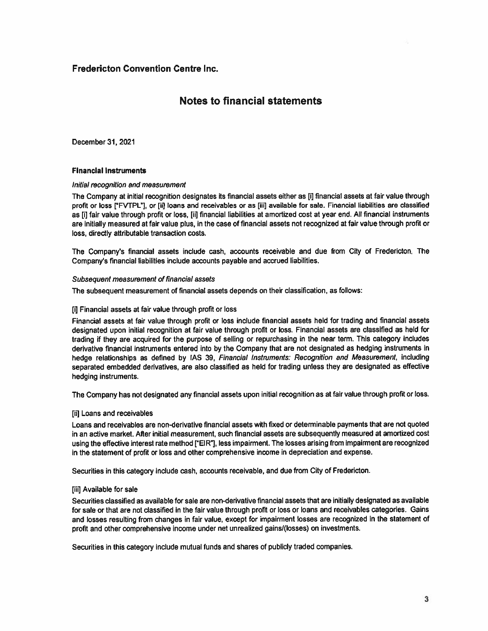# Notes to financial statements

December31, 2021

# Financial instruments

# Initial recognition and measurement

The Company at initial recognition designates its financial assets either as [i] financial assets at fair value through profit or loss ["FVTPL"], or [ii] loans and receivables or as [iii] available for sale. Financial liabilities are classified as [i] fair value through profit or loss, [iii financial liabilities at amortized cost at year end. All financial instruments are initially measured at fair value <sup>p</sup>lus, in the case of financial assets not recognized at fair value through profit or loss, directly altributable transaction costs.

The Company's financial assets include cash, accounts receivable and due from City of Fredericton. The Company's financial liabilities include accounts payable and accrued liabilities,

# Subsequent measurement of financial assets

The subsequent measurement of financial assets depends on their classification, as follows:

# [i] Financial assets at fair value through profit or loss

Financial assets at fair value through profit or loss include financial assets held for trading and financial assets designated upon initial recognition at fair value through profit or loss. Financial assets are classified as held for trading if they are acquired for the purpose of selling or repurchasing in the near term. This category includes derivative financial instruments entered into by the Company that are not designated as hedging instruments in hedge relationships as defined by IAS 39, Financial Instruments: Recognition and Measurement, including separated embedded derivatives, are also classified as held for trading unless they are designated as effective hedging instruments.

The Company has not designated any financial assets upon initial recognition as at fair value through profit or loss.

# [ii] Loans and receivables

Loans and receivables are non-derivative financial assets with fixed or determinable payments that are not quoted in an active market. After initial measurement, such financial assets are subsequently measured at amortized cost using the effective interest rate method ["EIR"], less impairment. The losses arising from impairment are recognized in the statement of profit or loss and other comprehensive income in depreciation and expense.

Securities in this category include cash, accounts receivable, and due from City of Fredericton.

# [iii] Available for sale

Securities classified as available for sale are non-derivative financial assets that are initially designated as available for sale or that are not classified in the fair value through profit or loss or loans and receivables categories. Gains and losses resulting from changes in fair value, excep<sup>t</sup> for impairment losses are recognized in the statement of profit and other comprehensive income under net unrealized gainsl(losses) on investments.

Securities in this category include mutual funds and shares of publicly traded companies.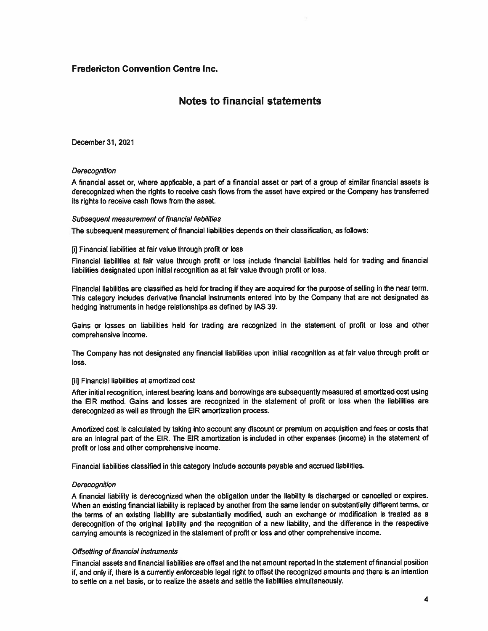# Notes to financial statements

December31, 2021

# **Derecognition**

A financial asset or, where applicable, <sup>a</sup> par<sup>t</sup> of <sup>a</sup> financial asset or par<sup>t</sup> of <sup>a</sup> group of similar financial assets is derecognized when the rights to receive cash flows from the asset have expired or the Company has transferred its rights to receive cash flows from the asset.

# Subsequent measurement of financial liabilities

The subsequent measurement of financial liabilities depends on their classification, as follows:

# [i] Financial liabilities at fair value through profit or loss

Financial liabilities at fair value through profit or loss include financial liabilities held for trading and financial liabilities designated upon initial recognition as at fair value through profit or loss.

Financial liabilities are classified as held for trading if they are acquired for the purpose of selling in the near term. This category includes derivative financial instruments entered into by the Company that are not designated as hedging instruments in hedge relationships as defined by lAS 39.

Gains or losses on liabilities held for trading are recognized in the statement of profit or loss and other comprehensive income.

The Company has not designated any financial liabilities upon initial recognition as at fair value through profit or loss.

# [ü] Financial liabilities at amortized cost

After initial recognition, interest bearing loans and borrowings are subsequently measured at amortized cost using the ER method. Gains and losses are recognized in the statement of profit or loss when the liabilities are derecognized as well as through the EIR amortization process.

Amortized cost is calculated by taking into account any discount or premium on acquisition and fees or costs that are an integral par<sup>t</sup> of the EIR. The ER amortization is included in other expenses (income) in the statement of profit or loss and other comprehensive income.

Financial liabilities classified in this category include accounts payable and accrued liabilities.

# **Derecognition**

<sup>A</sup> financial liability is derecognized when the obligation under the liability is discharged or cancelled or expires. When an existing financial liability is replaced by another from the same lender on substantially different terms, or the terms of an existing liability are substantially modified, such an exchange or modification is treated as <sup>a</sup> derecognition of the original liability and the recognition of <sup>a</sup> new liability, and the difference in the respective carrying amounts is recognized in the statement of profit or loss and other comprehensive income.

# Offsetting of financial instruments

Financial assets and financial liabilities are offset and the net amount reported in the statement of financial position if, and only if, there is <sup>a</sup> currently enforceable legal right to offset the recognized amounts and there is an intention to settle on <sup>a</sup> net basis, or to realize the assets and settle the liabilities simultaneously.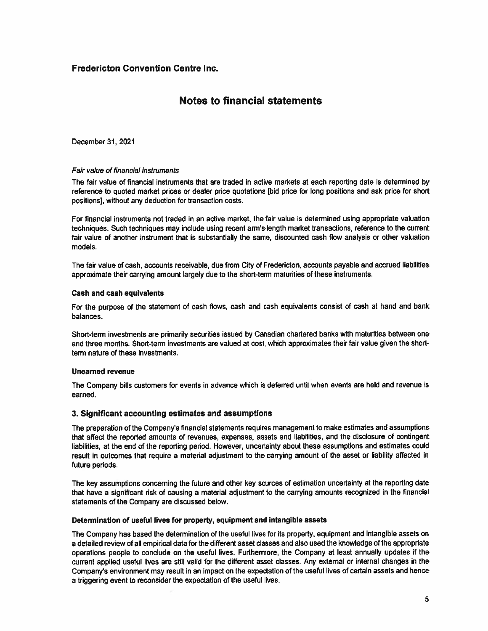# Notes to financial statements

December31, 2021

# Fair value of financial instruments

The fair value of financial instruments that are traded in active markets at each reporting date is determined by reference to quoted market prices or dealer price quotations [bid price for long positions and ask price for short positions], without any deduction for transaction costs.

For financial instruments not traded in an active market, the fair value is determined using appropriate valuation techniques. Such techniques may include using recent arm's-length market transactions, reference to the current fair value of another instrument that is substantially the same, discounted cash flow analysis or other valuation models.

The fair value of cash, accounts receivable, due from City of Fredericton, accounts payable and accrued liabilities approximate their carrying amount largely due to the short-term maturities of these instruments.

# Cash and cash equivalents

For the purpose of the statement of cash flows, cash and cash equivalents consist of cash at hand and bank balances.

Short-term investments are primarily securities issued by Canadian chartered banks with maturfties between one and three months. Short-term investments are valued at cost, which approximates their fair value given the shortterm nature of these investments.

# Unearned revenue

The Company bills customers for events in advance which is deferred until when events are held and revenue is earned.

# 3. Significant accounting estimates and assumptions

The preparation of the Company's financial statements requires managemen<sup>t</sup> to make estimates and assumptions that affect the reported amounts of revenues, expenses, assets and liabilities, and the disclosure of contingent liabilities, at the end of the reporting period. However, uncertainty about these assumptions and estimates could result in outcomes that require <sup>a</sup> material adjustment to the carrying amount of the asset or liability affected in future periods.

The key assumptions concerning the future and other key sources of estimation uncertainty at the reporting date that have <sup>a</sup> significant risk of causing <sup>a</sup> material adjustment to the carrying amounts recognized in the financial statements of the Company are discussed below.

# Determination of useful lives for property, equipment and intangible assets

The Company has based the determination of the useful lives for its property, equipment and intangible assets on <sup>a</sup> detailed review of all empirical data for the different asset classes and also used the knowledge of the appropriate operations people to conclude on the useful lives. Furthermore, the Company at least annually updates if the current applied useful lives are still valid for the different asset classes. Any external or internal changes in the Company's environment may result in an impact on the expectation of the useful lives of certain assets and hence a triggering event to reconsider the expectation of the useful lives.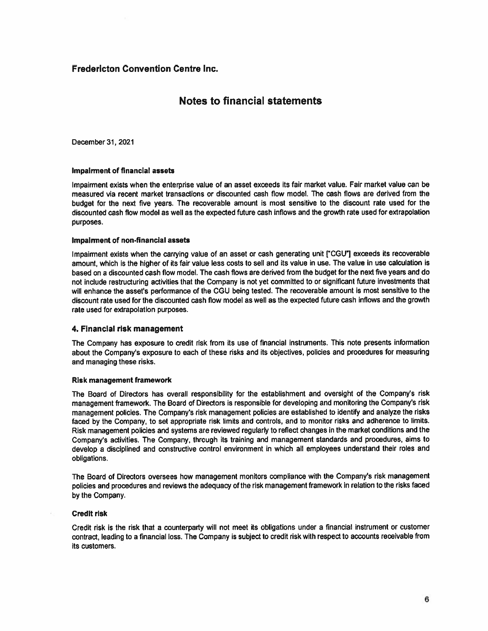# Notes to financial statements

December31, 2021

# Impairment of financial assets

Impairment exists when the enterprise value of an asset exceeds its fair market value. Fair market value can be measured via recent market transactions or discounted cash flow model. The cash flows are derived from the budget for the next five years. The recoverable amount is most sensitive to the discount rate used for the discounted cash flow model as well as the expected future cash inflows and the growth rate used for extrapolation purposes.

# Impairment of non-financial assets

Impairment exists when the carrying value of an asset or cash generating unit ["CGU"] exceeds its recoverable amount, which is the higher of its fair value less costs to sell and its value in use. The value in use calculation is based on <sup>a</sup> discounted cash flow model. The cash flows are derived from the budget for the next five years and do not include restructuring activities that the Company is not ye<sup>t</sup> committed to or significant future investments that will enhance the asset's performance of the CGU being tested. The recoverable amount is most sensitive to the discount rate used for the discounted cash flow model as well as the expected future cash inflows and the growth rate used for extrapolation purposes.

# 4. Financial risk managemen<sup>t</sup>

The Company has exposure to credit risk from its use of financial instruments. This note presents information about the Company's exposure to each of these risks and its objectives, policies and procedures for measuring and managing these risks.

# Risk managemen<sup>t</sup> framework

The Board of Directors has overall responsibility for the establishment and oversight of the Company's risk managemen<sup>t</sup> framework. The Board of Directors is responsible for developing and monitoring the Company's risk managemen<sup>t</sup> policies. The Company's risk managemen<sup>t</sup> policies are established to identify and analyze the risks faced by the Company, to set appropriate risk timfts and controls, and to monitor risks and adherence to limits. Risk managemen<sup>t</sup> policies and systems are reviewed regularly to reflect changes in the market conditions and the Company's activities. The Company, through its training and managemen<sup>t</sup> standards and procedures, aims to develop <sup>a</sup> disciplined and constructive control environment in which all employees understand their roles and obligations.

The Board of Directors oversees how managemen<sup>t</sup> monitors compliance with the Company's risk managemen<sup>t</sup> policies and procedures and reviews the adequacy of the risk managemen<sup>t</sup> framework in relation to the risks faced by the Company.

# Credit risk

Credit risk is the risk that <sup>a</sup> counterparty will not meet its obligations under <sup>a</sup> financial instrument or customer contract, leading to <sup>a</sup> financial loss. The Company is subject to credit risk with respec<sup>t</sup> to accounts receivable from its customers.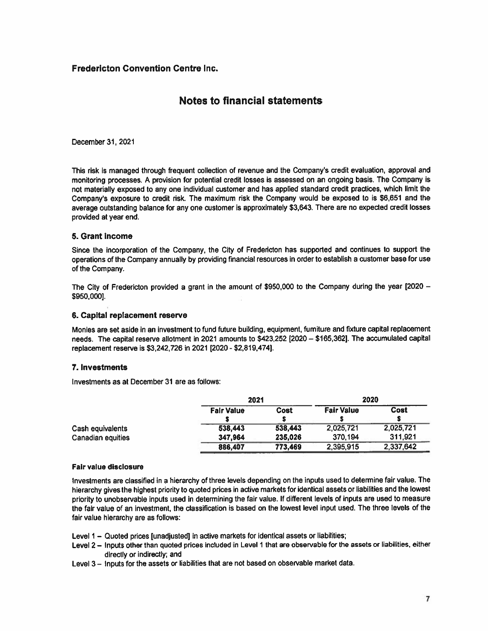# Notes to financial statements

December31, 2021

This risk is manage<sup>d</sup> through frequent collection of revenue and the Company's credit evaluation, approva<sup>l</sup> and monitoring processes. <sup>A</sup> provision for potential credit losses is assessed on an ongoing basis, The Company is not materially expose<sup>d</sup> to any one individual customer and has applied standard credit practices, which limit the Company's exposure to credit risk. The maximum risk the Company would be expose<sup>d</sup> to is \$6,651 and the average outstanding balance for any one customer is approximately \$3,643. There are no expected credit losses provided at year end.

# 5. Grant income

Since the incorporation of the Company, the City of Fredericton has supported and continues to suppor<sup>t</sup> the operations of the Company annually by providing financial resources in order to establish <sup>a</sup> customer base for use of the Company.

The City of Fredericton provided a grant in the amount of \$950,000 to the Company during the year [2020 -\$950,000].

# 6. Capital replacement reserve

Monies are set aside in an investment to fund future building, equipment, furniture and fixture capital replacement needs. The capital reserve allotment in <sup>2021</sup> amounts to \$423,252 [2020 —\$165,362]. The accumulated capital replacement reserve is \$3,242,726 in <sup>2021</sup> [2020 -\$2,819,474].

# 7. Investments

Investments as at December 31 are as follows:

|                   | 2021              |         | 2020              |           |
|-------------------|-------------------|---------|-------------------|-----------|
|                   | <b>Fair Value</b> | Cost    | <b>Fair Value</b> | Cost      |
| Cash equivalents  | 538,443           | 538,443 | 2,025,721         | 2,025,721 |
| Canadian equities | 347,964           | 235,026 | 370,194           | 311.921   |
|                   | 886,407           | 773,469 | 2,395,915         | 2,337,642 |

# Fair value disclosure

Investments are classified in <sup>a</sup> hierarchy of three levels depending on the inputs used to determine fair value. The hierarchy <sup>g</sup>ives the highest priority to quoted prices in active markets for identical assets or liabilities and the lowest priority to unobservable inputs used in determining the fair value. If different levels of inputs are used to measure the fair value of an investment, the classification is based on the lowest level input used. The three levels of the fair value hierarchy are as follows:

- Level <sup>1</sup> Quoted prices [unadjusted] in active markets for identical assets or liabilities;
- Level 2— Inputs other than quoted prices included in Level <sup>1</sup> that are observable for the assets or liabilities, either directly or indirectly; and
- Level 3— Inputs for the assets or liabilities that are not based on observable market data.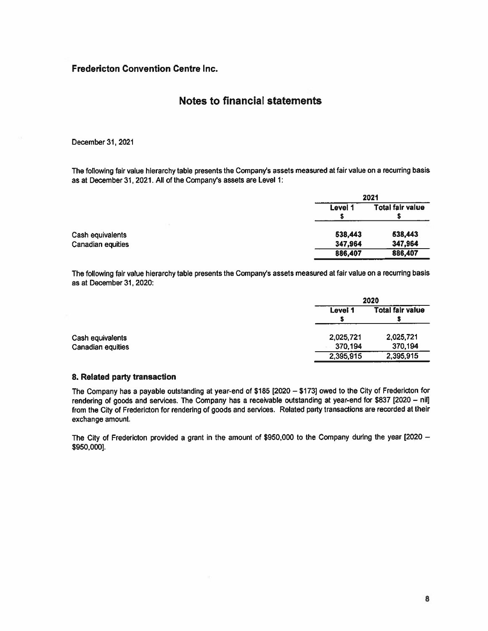# Notes to financial statements

# December31, 2021

The following fair value hierarchy table presents the Company's assets measured at fair value on a recurring basis as at December 31, 2021. All of the Company's assets are Level 1:

|                   |         | 2021                    |
|-------------------|---------|-------------------------|
|                   | Level 1 | <b>Total fair value</b> |
| Cash equivalents  | 538,443 | 538,443                 |
| Canadian equities | 347,964 | 347,964                 |
|                   | 886,407 | 886,407                 |

The following fair value hierarchy table presents the Company's assets measured at fair value on <sup>a</sup> recurring basis as at December 31, 2020:

|                   |           | 2020                    |
|-------------------|-----------|-------------------------|
|                   | Level 1   | <b>Total fair value</b> |
| Cash equivalents  | 2,025,721 | 2,025,721               |
| Canadian equities | 370.194   | 370,194                 |
|                   | 2,395,915 | 2,395,915               |

# 8. Related party transaction

The Company has <sup>a</sup> payable outstanding at year-en<sup>d</sup> of \$185 [2020 —\$173] owed to the City of Fredericton for rendering of goods and services. The Company has <sup>a</sup> receivable outstanding at year-en<sup>d</sup> for \$837 [2020 — nil] from the City of Fredericton for rendering of goods and services. Related party transactions are recorded at their exchange amount.

The City of Fredericton provided <sup>a</sup> gran<sup>t</sup> in the amount of \$950,000 to the Company during the year [2020 — \$950,000].